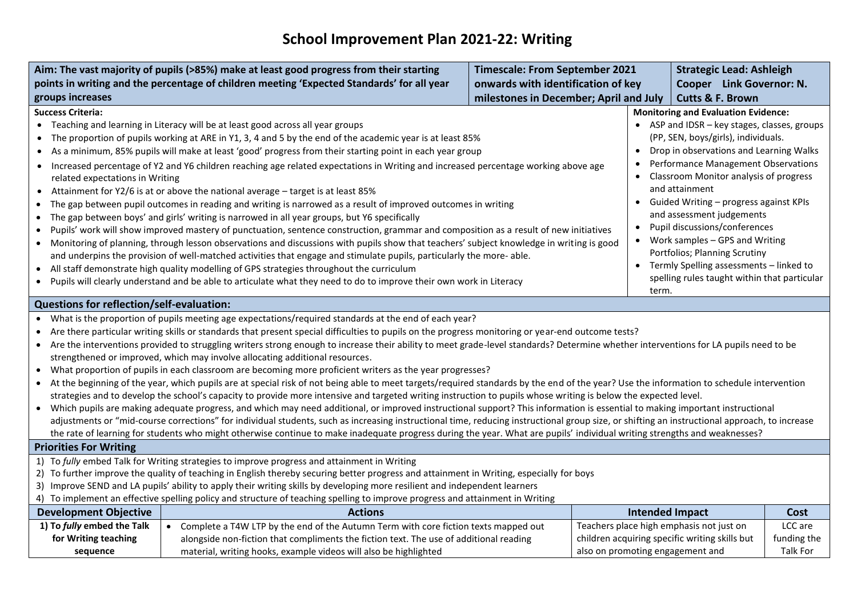## **School Improvement Plan 2021-22: Writing**

|                                                                                                                                                                                                                                                                                                                                                                                                                                                                                                                                                                                                                                                                                                                                                                                                                                                                                                                                                                                                                                                                                                                                                                                                                                                                                                                                                                                                                                                                                                                                                                                                                                                                                                                                                                                                           | Aim: The vast majority of pupils (>85%) make at least good progress from their starting                                                                                                                                                                                                                                                                                                                                                                                                                                                                                                                                                                                                                                                                                                                                                                                                                                                                                                                                                                                                                                                                                                                                                                                                                                                                                              | <b>Timescale: From September 2021</b><br><b>Strategic Lead: Ashleigh</b> |                                                                                                                                                                                                                                                                                                                                                    |                                                                                                                                |                                    |
|-----------------------------------------------------------------------------------------------------------------------------------------------------------------------------------------------------------------------------------------------------------------------------------------------------------------------------------------------------------------------------------------------------------------------------------------------------------------------------------------------------------------------------------------------------------------------------------------------------------------------------------------------------------------------------------------------------------------------------------------------------------------------------------------------------------------------------------------------------------------------------------------------------------------------------------------------------------------------------------------------------------------------------------------------------------------------------------------------------------------------------------------------------------------------------------------------------------------------------------------------------------------------------------------------------------------------------------------------------------------------------------------------------------------------------------------------------------------------------------------------------------------------------------------------------------------------------------------------------------------------------------------------------------------------------------------------------------------------------------------------------------------------------------------------------------|--------------------------------------------------------------------------------------------------------------------------------------------------------------------------------------------------------------------------------------------------------------------------------------------------------------------------------------------------------------------------------------------------------------------------------------------------------------------------------------------------------------------------------------------------------------------------------------------------------------------------------------------------------------------------------------------------------------------------------------------------------------------------------------------------------------------------------------------------------------------------------------------------------------------------------------------------------------------------------------------------------------------------------------------------------------------------------------------------------------------------------------------------------------------------------------------------------------------------------------------------------------------------------------------------------------------------------------------------------------------------------------|--------------------------------------------------------------------------|----------------------------------------------------------------------------------------------------------------------------------------------------------------------------------------------------------------------------------------------------------------------------------------------------------------------------------------------------|--------------------------------------------------------------------------------------------------------------------------------|------------------------------------|
|                                                                                                                                                                                                                                                                                                                                                                                                                                                                                                                                                                                                                                                                                                                                                                                                                                                                                                                                                                                                                                                                                                                                                                                                                                                                                                                                                                                                                                                                                                                                                                                                                                                                                                                                                                                                           | points in writing and the percentage of children meeting 'Expected Standards' for all year                                                                                                                                                                                                                                                                                                                                                                                                                                                                                                                                                                                                                                                                                                                                                                                                                                                                                                                                                                                                                                                                                                                                                                                                                                                                                           | onwards with identification of key                                       |                                                                                                                                                                                                                                                                                                                                                    | Cooper Link Governor: N.                                                                                                       |                                    |
| groups increases                                                                                                                                                                                                                                                                                                                                                                                                                                                                                                                                                                                                                                                                                                                                                                                                                                                                                                                                                                                                                                                                                                                                                                                                                                                                                                                                                                                                                                                                                                                                                                                                                                                                                                                                                                                          |                                                                                                                                                                                                                                                                                                                                                                                                                                                                                                                                                                                                                                                                                                                                                                                                                                                                                                                                                                                                                                                                                                                                                                                                                                                                                                                                                                                      |                                                                          |                                                                                                                                                                                                                                                                                                                                                    | <b>Cutts &amp; F. Brown</b>                                                                                                    |                                    |
| <b>Success Criteria:</b><br>$\bullet$<br>$\bullet$<br>$\bullet$<br>$\bullet$<br>$\bullet$<br>$\bullet$<br>$\bullet$<br>$\bullet$                                                                                                                                                                                                                                                                                                                                                                                                                                                                                                                                                                                                                                                                                                                                                                                                                                                                                                                                                                                                                                                                                                                                                                                                                                                                                                                                                                                                                                                                                                                                                                                                                                                                          | milestones in December; April and July<br><b>Monitoring and Evaluation Evidence:</b><br>• Teaching and learning in Literacy will be at least good across all year groups<br>The proportion of pupils working at ARE in Y1, 3, 4 and 5 by the end of the academic year is at least 85%<br>As a minimum, 85% pupils will make at least 'good' progress from their starting point in each year group<br>$\bullet$<br>Increased percentage of Y2 and Y6 children reaching age related expectations in Writing and increased percentage working above age<br>related expectations in Writing<br>and attainment<br>Attainment for Y2/6 is at or above the national average - target is at least 85%<br>• Guided Writing - progress against KPIs<br>The gap between pupil outcomes in reading and writing is narrowed as a result of improved outcomes in writing<br>The gap between boys' and girls' writing is narrowed in all year groups, but Y6 specifically<br>$\bullet$<br>Pupils' work will show improved mastery of punctuation, sentence construction, grammar and composition as a result of new initiatives<br>Monitoring of planning, through lesson observations and discussions with pupils show that teachers' subject knowledge in writing is good<br>and underpins the provision of well-matched activities that engage and stimulate pupils, particularly the more-able. |                                                                          | • ASP and IDSR - key stages, classes, groups<br>(PP, SEN, boys/girls), individuals.<br>Drop in observations and Learning Walks<br>Performance Management Observations<br>• Classroom Monitor analysis of progress<br>and assessment judgements<br>Pupil discussions/conferences<br>Work samples - GPS and Writing<br>Portfolios; Planning Scrutiny |                                                                                                                                |                                    |
| $\bullet$                                                                                                                                                                                                                                                                                                                                                                                                                                                                                                                                                                                                                                                                                                                                                                                                                                                                                                                                                                                                                                                                                                                                                                                                                                                                                                                                                                                                                                                                                                                                                                                                                                                                                                                                                                                                 | All staff demonstrate high quality modelling of GPS strategies throughout the curriculum                                                                                                                                                                                                                                                                                                                                                                                                                                                                                                                                                                                                                                                                                                                                                                                                                                                                                                                                                                                                                                                                                                                                                                                                                                                                                             |                                                                          |                                                                                                                                                                                                                                                                                                                                                    | • Termly Spelling assessments - linked to                                                                                      |                                    |
|                                                                                                                                                                                                                                                                                                                                                                                                                                                                                                                                                                                                                                                                                                                                                                                                                                                                                                                                                                                                                                                                                                                                                                                                                                                                                                                                                                                                                                                                                                                                                                                                                                                                                                                                                                                                           | • Pupils will clearly understand and be able to articulate what they need to do to improve their own work in Literacy                                                                                                                                                                                                                                                                                                                                                                                                                                                                                                                                                                                                                                                                                                                                                                                                                                                                                                                                                                                                                                                                                                                                                                                                                                                                |                                                                          |                                                                                                                                                                                                                                                                                                                                                    | spelling rules taught within that particular                                                                                   |                                    |
|                                                                                                                                                                                                                                                                                                                                                                                                                                                                                                                                                                                                                                                                                                                                                                                                                                                                                                                                                                                                                                                                                                                                                                                                                                                                                                                                                                                                                                                                                                                                                                                                                                                                                                                                                                                                           |                                                                                                                                                                                                                                                                                                                                                                                                                                                                                                                                                                                                                                                                                                                                                                                                                                                                                                                                                                                                                                                                                                                                                                                                                                                                                                                                                                                      |                                                                          | term.                                                                                                                                                                                                                                                                                                                                              |                                                                                                                                |                                    |
| <b>Questions for reflection/self-evaluation:</b><br>What is the proportion of pupils meeting age expectations/required standards at the end of each year?<br>Are there particular writing skills or standards that present special difficulties to pupils on the progress monitoring or year-end outcome tests?<br>Are the interventions provided to struggling writers strong enough to increase their ability to meet grade-level standards? Determine whether interventions for LA pupils need to be<br>$\bullet$<br>strengthened or improved, which may involve allocating additional resources.<br>What proportion of pupils in each classroom are becoming more proficient writers as the year progresses?<br>$\bullet$<br>At the beginning of the year, which pupils are at special risk of not being able to meet targets/required standards by the end of the year? Use the information to schedule intervention<br>$\bullet$<br>strategies and to develop the school's capacity to provide more intensive and targeted writing instruction to pupils whose writing is below the expected level.<br>• Which pupils are making adequate progress, and which may need additional, or improved instructional support? This information is essential to making important instructional<br>adjustments or "mid-course corrections" for individual students, such as increasing instructional time, reducing instructional group size, or shifting an instructional approach, to increase<br>the rate of learning for students who might otherwise continue to make inadequate progress during the year. What are pupils' individual writing strengths and weaknesses?<br><b>Priorities For Writing</b><br>1) To fully embed Talk for Writing strategies to improve progress and attainment in Writing |                                                                                                                                                                                                                                                                                                                                                                                                                                                                                                                                                                                                                                                                                                                                                                                                                                                                                                                                                                                                                                                                                                                                                                                                                                                                                                                                                                                      |                                                                          |                                                                                                                                                                                                                                                                                                                                                    |                                                                                                                                |                                    |
| 2) To further improve the quality of teaching in English thereby securing better progress and attainment in Writing, especially for boys<br>3) Improve SEND and LA pupils' ability to apply their writing skills by developing more resilient and independent learners                                                                                                                                                                                                                                                                                                                                                                                                                                                                                                                                                                                                                                                                                                                                                                                                                                                                                                                                                                                                                                                                                                                                                                                                                                                                                                                                                                                                                                                                                                                                    |                                                                                                                                                                                                                                                                                                                                                                                                                                                                                                                                                                                                                                                                                                                                                                                                                                                                                                                                                                                                                                                                                                                                                                                                                                                                                                                                                                                      |                                                                          |                                                                                                                                                                                                                                                                                                                                                    |                                                                                                                                |                                    |
| 4) To implement an effective spelling policy and structure of teaching spelling to improve progress and attainment in Writing                                                                                                                                                                                                                                                                                                                                                                                                                                                                                                                                                                                                                                                                                                                                                                                                                                                                                                                                                                                                                                                                                                                                                                                                                                                                                                                                                                                                                                                                                                                                                                                                                                                                             |                                                                                                                                                                                                                                                                                                                                                                                                                                                                                                                                                                                                                                                                                                                                                                                                                                                                                                                                                                                                                                                                                                                                                                                                                                                                                                                                                                                      |                                                                          |                                                                                                                                                                                                                                                                                                                                                    |                                                                                                                                |                                    |
| <b>Development Objective</b>                                                                                                                                                                                                                                                                                                                                                                                                                                                                                                                                                                                                                                                                                                                                                                                                                                                                                                                                                                                                                                                                                                                                                                                                                                                                                                                                                                                                                                                                                                                                                                                                                                                                                                                                                                              | <b>Actions</b>                                                                                                                                                                                                                                                                                                                                                                                                                                                                                                                                                                                                                                                                                                                                                                                                                                                                                                                                                                                                                                                                                                                                                                                                                                                                                                                                                                       |                                                                          | <b>Intended Impact</b>                                                                                                                                                                                                                                                                                                                             |                                                                                                                                | Cost                               |
| 1) To fully embed the Talk<br>for Writing teaching<br>sequence                                                                                                                                                                                                                                                                                                                                                                                                                                                                                                                                                                                                                                                                                                                                                                                                                                                                                                                                                                                                                                                                                                                                                                                                                                                                                                                                                                                                                                                                                                                                                                                                                                                                                                                                            | • Complete a T4W LTP by the end of the Autumn Term with core fiction texts mapped out<br>alongside non-fiction that compliments the fiction text. The use of additional reading<br>material, writing hooks, example videos will also be highlighted                                                                                                                                                                                                                                                                                                                                                                                                                                                                                                                                                                                                                                                                                                                                                                                                                                                                                                                                                                                                                                                                                                                                  |                                                                          |                                                                                                                                                                                                                                                                                                                                                    | Teachers place high emphasis not just on<br>children acquiring specific writing skills but<br>also on promoting engagement and | LCC are<br>funding the<br>Talk For |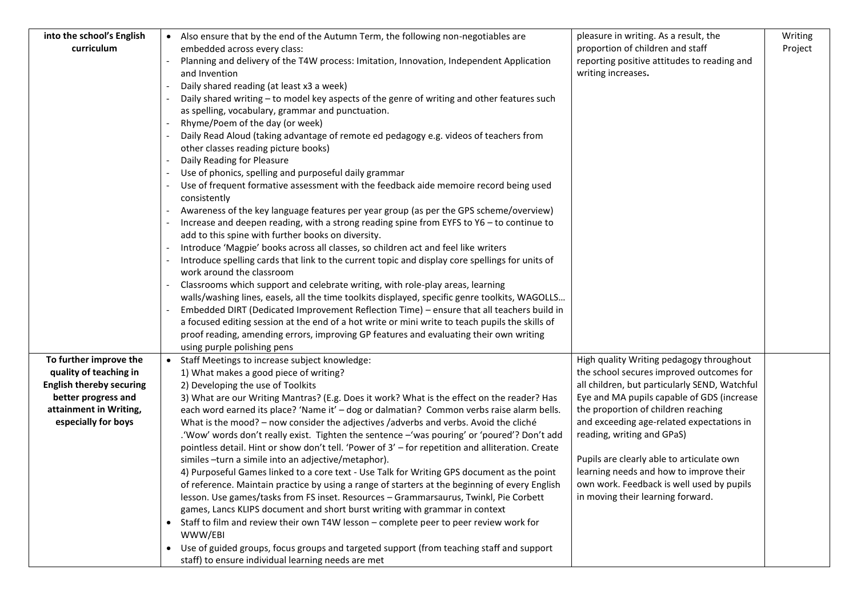| into the school's English       | • Also ensure that by the end of the Autumn Term, the following non-negotiables are                                                                                                       | pleasure in writing. As a result, the                                                | Writing |
|---------------------------------|-------------------------------------------------------------------------------------------------------------------------------------------------------------------------------------------|--------------------------------------------------------------------------------------|---------|
| curriculum                      | embedded across every class:                                                                                                                                                              | proportion of children and staff                                                     | Project |
|                                 | Planning and delivery of the T4W process: Imitation, Innovation, Independent Application                                                                                                  | reporting positive attitudes to reading and                                          |         |
|                                 | and Invention                                                                                                                                                                             | writing increases.                                                                   |         |
|                                 | Daily shared reading (at least x3 a week)                                                                                                                                                 |                                                                                      |         |
|                                 | Daily shared writing - to model key aspects of the genre of writing and other features such                                                                                               |                                                                                      |         |
|                                 | as spelling, vocabulary, grammar and punctuation.                                                                                                                                         |                                                                                      |         |
|                                 | Rhyme/Poem of the day (or week)                                                                                                                                                           |                                                                                      |         |
|                                 | Daily Read Aloud (taking advantage of remote ed pedagogy e.g. videos of teachers from                                                                                                     |                                                                                      |         |
|                                 | other classes reading picture books)<br>Daily Reading for Pleasure                                                                                                                        |                                                                                      |         |
|                                 | Use of phonics, spelling and purposeful daily grammar                                                                                                                                     |                                                                                      |         |
|                                 | Use of frequent formative assessment with the feedback aide memoire record being used                                                                                                     |                                                                                      |         |
|                                 | consistently                                                                                                                                                                              |                                                                                      |         |
|                                 | Awareness of the key language features per year group (as per the GPS scheme/overview)                                                                                                    |                                                                                      |         |
|                                 | Increase and deepen reading, with a strong reading spine from EYFS to $Y6 -$ to continue to                                                                                               |                                                                                      |         |
|                                 | add to this spine with further books on diversity.                                                                                                                                        |                                                                                      |         |
|                                 | Introduce 'Magpie' books across all classes, so children act and feel like writers                                                                                                        |                                                                                      |         |
|                                 | Introduce spelling cards that link to the current topic and display core spellings for units of                                                                                           |                                                                                      |         |
|                                 | work around the classroom                                                                                                                                                                 |                                                                                      |         |
|                                 | Classrooms which support and celebrate writing, with role-play areas, learning                                                                                                            |                                                                                      |         |
|                                 | walls/washing lines, easels, all the time toolkits displayed, specific genre toolkits, WAGOLLS                                                                                            |                                                                                      |         |
|                                 | Embedded DIRT (Dedicated Improvement Reflection Time) - ensure that all teachers build in                                                                                                 |                                                                                      |         |
|                                 | a focused editing session at the end of a hot write or mini write to teach pupils the skills of<br>proof reading, amending errors, improving GP features and evaluating their own writing |                                                                                      |         |
|                                 | using purple polishing pens                                                                                                                                                               |                                                                                      |         |
| To further improve the          | • Staff Meetings to increase subject knowledge:                                                                                                                                           | High quality Writing pedagogy throughout                                             |         |
| quality of teaching in          | 1) What makes a good piece of writing?                                                                                                                                                    | the school secures improved outcomes for                                             |         |
| <b>English thereby securing</b> | 2) Developing the use of Toolkits                                                                                                                                                         | all children, but particularly SEND, Watchful                                        |         |
| better progress and             | 3) What are our Writing Mantras? (E.g. Does it work? What is the effect on the reader? Has                                                                                                | Eye and MA pupils capable of GDS (increase                                           |         |
| attainment in Writing,          | each word earned its place? 'Name it' - dog or dalmatian? Common verbs raise alarm bells.                                                                                                 | the proportion of children reaching                                                  |         |
| especially for boys             | What is the mood? - now consider the adjectives /adverbs and verbs. Avoid the cliché                                                                                                      | and exceeding age-related expectations in                                            |         |
|                                 | .'Wow' words don't really exist. Tighten the sentence -'was pouring' or 'poured'? Don't add                                                                                               | reading, writing and GPaS)                                                           |         |
|                                 | pointless detail. Hint or show don't tell. 'Power of 3' - for repetition and alliteration. Create                                                                                         |                                                                                      |         |
|                                 | similes -turn a simile into an adjective/metaphor).<br>4) Purposeful Games linked to a core text - Use Talk for Writing GPS document as the point                                         | Pupils are clearly able to articulate own<br>learning needs and how to improve their |         |
|                                 | of reference. Maintain practice by using a range of starters at the beginning of every English                                                                                            | own work. Feedback is well used by pupils                                            |         |
|                                 | lesson. Use games/tasks from FS inset. Resources - Grammarsaurus, Twinkl, Pie Corbett                                                                                                     | in moving their learning forward.                                                    |         |
|                                 | games, Lancs KLIPS document and short burst writing with grammar in context                                                                                                               |                                                                                      |         |
|                                 | Staff to film and review their own T4W lesson - complete peer to peer review work for                                                                                                     |                                                                                      |         |
|                                 | WWW/EBI                                                                                                                                                                                   |                                                                                      |         |
|                                 | Use of guided groups, focus groups and targeted support (from teaching staff and support<br>$\bullet$                                                                                     |                                                                                      |         |
|                                 | staff) to ensure individual learning needs are met                                                                                                                                        |                                                                                      |         |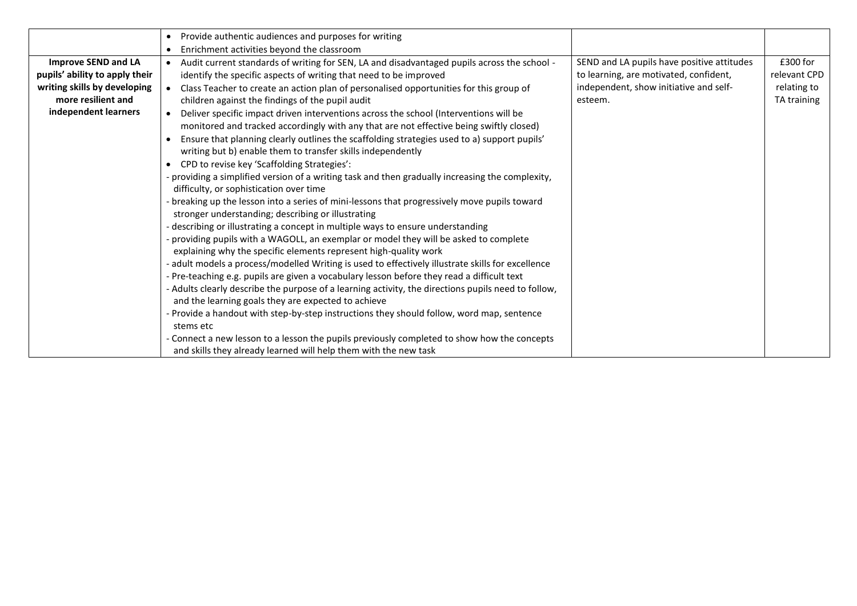|                                | Provide authentic audiences and purposes for writing<br>$\bullet$                                   |                                            |              |
|--------------------------------|-----------------------------------------------------------------------------------------------------|--------------------------------------------|--------------|
|                                | Enrichment activities beyond the classroom                                                          |                                            |              |
| <b>Improve SEND and LA</b>     | Audit current standards of writing for SEN, LA and disadvantaged pupils across the school -         | SEND and LA pupils have positive attitudes | $£300$ for   |
| pupils' ability to apply their | identify the specific aspects of writing that need to be improved                                   | to learning, are motivated, confident,     | relevant CPD |
| writing skills by developing   | Class Teacher to create an action plan of personalised opportunities for this group of              | independent, show initiative and self-     | relating to  |
| more resilient and             | children against the findings of the pupil audit                                                    | esteem.                                    | TA training  |
| independent learners           | Deliver specific impact driven interventions across the school (Interventions will be               |                                            |              |
|                                | monitored and tracked accordingly with any that are not effective being swiftly closed)             |                                            |              |
|                                | Ensure that planning clearly outlines the scaffolding strategies used to a) support pupils'         |                                            |              |
|                                | writing but b) enable them to transfer skills independently                                         |                                            |              |
|                                | CPD to revise key 'Scaffolding Strategies':                                                         |                                            |              |
|                                | - providing a simplified version of a writing task and then gradually increasing the complexity,    |                                            |              |
|                                | difficulty, or sophistication over time                                                             |                                            |              |
|                                | - breaking up the lesson into a series of mini-lessons that progressively move pupils toward        |                                            |              |
|                                | stronger understanding; describing or illustrating                                                  |                                            |              |
|                                | describing or illustrating a concept in multiple ways to ensure understanding                       |                                            |              |
|                                | providing pupils with a WAGOLL, an exemplar or model they will be asked to complete                 |                                            |              |
|                                | explaining why the specific elements represent high-quality work                                    |                                            |              |
|                                | adult models a process/modelled Writing is used to effectively illustrate skills for excellence     |                                            |              |
|                                | - Pre-teaching e.g. pupils are given a vocabulary lesson before they read a difficult text          |                                            |              |
|                                | - Adults clearly describe the purpose of a learning activity, the directions pupils need to follow, |                                            |              |
|                                | and the learning goals they are expected to achieve                                                 |                                            |              |
|                                | - Provide a handout with step-by-step instructions they should follow, word map, sentence           |                                            |              |
|                                | stems etc                                                                                           |                                            |              |
|                                | - Connect a new lesson to a lesson the pupils previously completed to show how the concepts         |                                            |              |
|                                | and skills they already learned will help them with the new task                                    |                                            |              |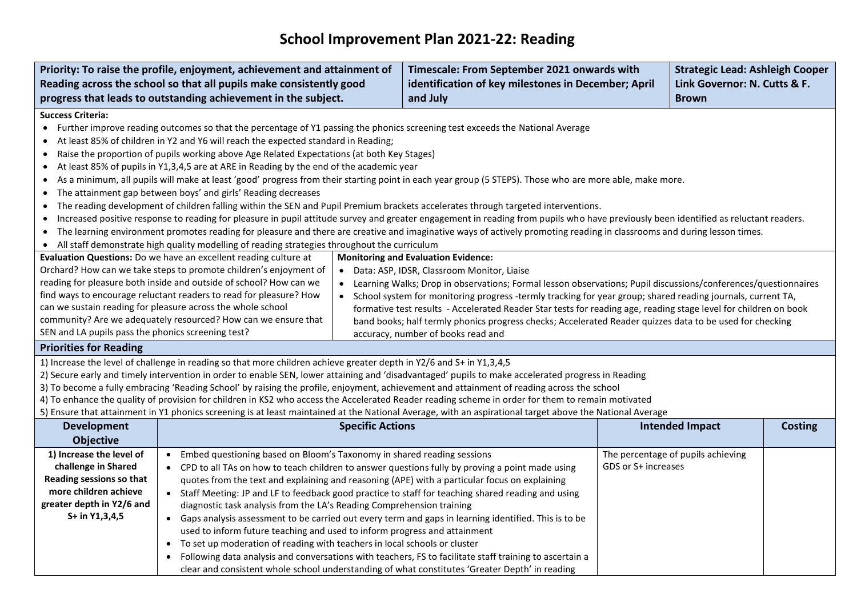## **School Improvement Plan 2021-22: Reading**

| Priority: To raise the profile, enjoyment, achievement and attainment of                                                                                                                                                                                                                        |                                                                                                                                                                                                                                                                        | Timescale: From September 2021 onwards with         |                                                                                                                                                                                      | <b>Strategic Lead: Ashleigh Cooper</b> |                                    |                |
|-------------------------------------------------------------------------------------------------------------------------------------------------------------------------------------------------------------------------------------------------------------------------------------------------|------------------------------------------------------------------------------------------------------------------------------------------------------------------------------------------------------------------------------------------------------------------------|-----------------------------------------------------|--------------------------------------------------------------------------------------------------------------------------------------------------------------------------------------|----------------------------------------|------------------------------------|----------------|
| Reading across the school so that all pupils make consistently good                                                                                                                                                                                                                             |                                                                                                                                                                                                                                                                        | identification of key milestones in December; April |                                                                                                                                                                                      | Link Governor: N. Cutts & F.           |                                    |                |
| progress that leads to outstanding achievement in the subject.                                                                                                                                                                                                                                  |                                                                                                                                                                                                                                                                        | and July                                            |                                                                                                                                                                                      | <b>Brown</b>                           |                                    |                |
| <b>Success Criteria:</b>                                                                                                                                                                                                                                                                        |                                                                                                                                                                                                                                                                        |                                                     |                                                                                                                                                                                      |                                        |                                    |                |
|                                                                                                                                                                                                                                                                                                 |                                                                                                                                                                                                                                                                        |                                                     | • Further improve reading outcomes so that the percentage of Y1 passing the phonics screening test exceeds the National Average                                                      |                                        |                                    |                |
| $\bullet$                                                                                                                                                                                                                                                                                       | At least 85% of children in Y2 and Y6 will reach the expected standard in Reading;                                                                                                                                                                                     |                                                     |                                                                                                                                                                                      |                                        |                                    |                |
| $\bullet$                                                                                                                                                                                                                                                                                       | Raise the proportion of pupils working above Age Related Expectations (at both Key Stages)                                                                                                                                                                             |                                                     |                                                                                                                                                                                      |                                        |                                    |                |
| $\bullet$                                                                                                                                                                                                                                                                                       | At least 85% of pupils in Y1,3,4,5 are at ARE in Reading by the end of the academic year                                                                                                                                                                               |                                                     |                                                                                                                                                                                      |                                        |                                    |                |
|                                                                                                                                                                                                                                                                                                 |                                                                                                                                                                                                                                                                        |                                                     | As a minimum, all pupils will make at least 'good' progress from their starting point in each year group (5 STEPS). Those who are more able, make more.                              |                                        |                                    |                |
|                                                                                                                                                                                                                                                                                                 | The attainment gap between boys' and girls' Reading decreases                                                                                                                                                                                                          |                                                     |                                                                                                                                                                                      |                                        |                                    |                |
|                                                                                                                                                                                                                                                                                                 |                                                                                                                                                                                                                                                                        |                                                     | The reading development of children falling within the SEN and Pupil Premium brackets accelerates through targeted interventions.                                                    |                                        |                                    |                |
| $\bullet$                                                                                                                                                                                                                                                                                       |                                                                                                                                                                                                                                                                        |                                                     | Increased positive response to reading for pleasure in pupil attitude survey and greater engagement in reading from pupils who have previously been identified as reluctant readers. |                                        |                                    |                |
| $\bullet$                                                                                                                                                                                                                                                                                       |                                                                                                                                                                                                                                                                        |                                                     | The learning environment promotes reading for pleasure and there are creative and imaginative ways of actively promoting reading in classrooms and during lesson times.              |                                        |                                    |                |
| $\bullet$                                                                                                                                                                                                                                                                                       | All staff demonstrate high quality modelling of reading strategies throughout the curriculum                                                                                                                                                                           |                                                     |                                                                                                                                                                                      |                                        |                                    |                |
|                                                                                                                                                                                                                                                                                                 | Evaluation Questions: Do we have an excellent reading culture at                                                                                                                                                                                                       |                                                     | <b>Monitoring and Evaluation Evidence:</b>                                                                                                                                           |                                        |                                    |                |
|                                                                                                                                                                                                                                                                                                 | Orchard? How can we take steps to promote children's enjoyment of                                                                                                                                                                                                      |                                                     | • Data: ASP, IDSR, Classroom Monitor, Liaise                                                                                                                                         |                                        |                                    |                |
|                                                                                                                                                                                                                                                                                                 | reading for pleasure both inside and outside of school? How can we<br>find ways to encourage reluctant readers to read for pleasure? How                                                                                                                               |                                                     | • Learning Walks; Drop in observations; Formal lesson observations; Pupil discussions/conferences/questionnaires                                                                     |                                        |                                    |                |
|                                                                                                                                                                                                                                                                                                 | can we sustain reading for pleasure across the whole school                                                                                                                                                                                                            |                                                     | • School system for monitoring progress -termly tracking for year group; shared reading journals, current TA,                                                                        |                                        |                                    |                |
|                                                                                                                                                                                                                                                                                                 |                                                                                                                                                                                                                                                                        |                                                     | formative test results - Accelerated Reader Star tests for reading age, reading stage level for children on book                                                                     |                                        |                                    |                |
|                                                                                                                                                                                                                                                                                                 | community? Are we adequately resourced? How can we ensure that<br>band books; half termly phonics progress checks; Accelerated Reader quizzes data to be used for checking<br>SEN and LA pupils pass the phonics screening test?<br>accuracy, number of books read and |                                                     |                                                                                                                                                                                      |                                        |                                    |                |
| <b>Priorities for Reading</b>                                                                                                                                                                                                                                                                   |                                                                                                                                                                                                                                                                        |                                                     |                                                                                                                                                                                      |                                        |                                    |                |
|                                                                                                                                                                                                                                                                                                 | 1) Increase the level of challenge in reading so that more children achieve greater depth in Y2/6 and S+ in Y1,3,4,5                                                                                                                                                   |                                                     |                                                                                                                                                                                      |                                        |                                    |                |
|                                                                                                                                                                                                                                                                                                 |                                                                                                                                                                                                                                                                        |                                                     | 2) Secure early and timely intervention in order to enable SEN, lower attaining and 'disadvantaged' pupils to make accelerated progress in Reading                                   |                                        |                                    |                |
|                                                                                                                                                                                                                                                                                                 |                                                                                                                                                                                                                                                                        |                                                     |                                                                                                                                                                                      |                                        |                                    |                |
| 3) To become a fully embracing 'Reading School' by raising the profile, enjoyment, achievement and attainment of reading across the school<br>4) To enhance the quality of provision for children in KS2 who access the Accelerated Reader reading scheme in order for them to remain motivated |                                                                                                                                                                                                                                                                        |                                                     |                                                                                                                                                                                      |                                        |                                    |                |
|                                                                                                                                                                                                                                                                                                 |                                                                                                                                                                                                                                                                        |                                                     | 5) Ensure that attainment in Y1 phonics screening is at least maintained at the National Average, with an aspirational target above the National Average                             |                                        |                                    |                |
| <b>Development</b>                                                                                                                                                                                                                                                                              |                                                                                                                                                                                                                                                                        | <b>Specific Actions</b>                             |                                                                                                                                                                                      |                                        | <b>Intended Impact</b>             | <b>Costing</b> |
| <b>Objective</b>                                                                                                                                                                                                                                                                                |                                                                                                                                                                                                                                                                        |                                                     |                                                                                                                                                                                      |                                        |                                    |                |
| 1) Increase the level of                                                                                                                                                                                                                                                                        | Embed questioning based on Bloom's Taxonomy in shared reading sessions<br>$\bullet$                                                                                                                                                                                    |                                                     |                                                                                                                                                                                      |                                        | The percentage of pupils achieving |                |
| challenge in Shared                                                                                                                                                                                                                                                                             |                                                                                                                                                                                                                                                                        |                                                     | • CPD to all TAs on how to teach children to answer questions fully by proving a point made using                                                                                    | GDS or S+ increases                    |                                    |                |
| Reading sessions so that                                                                                                                                                                                                                                                                        |                                                                                                                                                                                                                                                                        |                                                     | quotes from the text and explaining and reasoning (APE) with a particular focus on explaining                                                                                        |                                        |                                    |                |
| more children achieve                                                                                                                                                                                                                                                                           |                                                                                                                                                                                                                                                                        |                                                     | • Staff Meeting: JP and LF to feedback good practice to staff for teaching shared reading and using                                                                                  |                                        |                                    |                |
| greater depth in Y2/6 and                                                                                                                                                                                                                                                                       | diagnostic task analysis from the LA's Reading Comprehension training                                                                                                                                                                                                  |                                                     |                                                                                                                                                                                      |                                        |                                    |                |
| S+ in Y1,3,4,5                                                                                                                                                                                                                                                                                  |                                                                                                                                                                                                                                                                        |                                                     | • Gaps analysis assessment to be carried out every term and gaps in learning identified. This is to be                                                                               |                                        |                                    |                |
|                                                                                                                                                                                                                                                                                                 | used to inform future teaching and used to inform progress and attainment                                                                                                                                                                                              |                                                     |                                                                                                                                                                                      |                                        |                                    |                |
|                                                                                                                                                                                                                                                                                                 | To set up moderation of reading with teachers in local schools or cluster                                                                                                                                                                                              |                                                     |                                                                                                                                                                                      |                                        |                                    |                |
|                                                                                                                                                                                                                                                                                                 |                                                                                                                                                                                                                                                                        |                                                     | Following data analysis and conversations with teachers, FS to facilitate staff training to ascertain a                                                                              |                                        |                                    |                |
|                                                                                                                                                                                                                                                                                                 |                                                                                                                                                                                                                                                                        |                                                     | clear and consistent whole school understanding of what constitutes 'Greater Depth' in reading                                                                                       |                                        |                                    |                |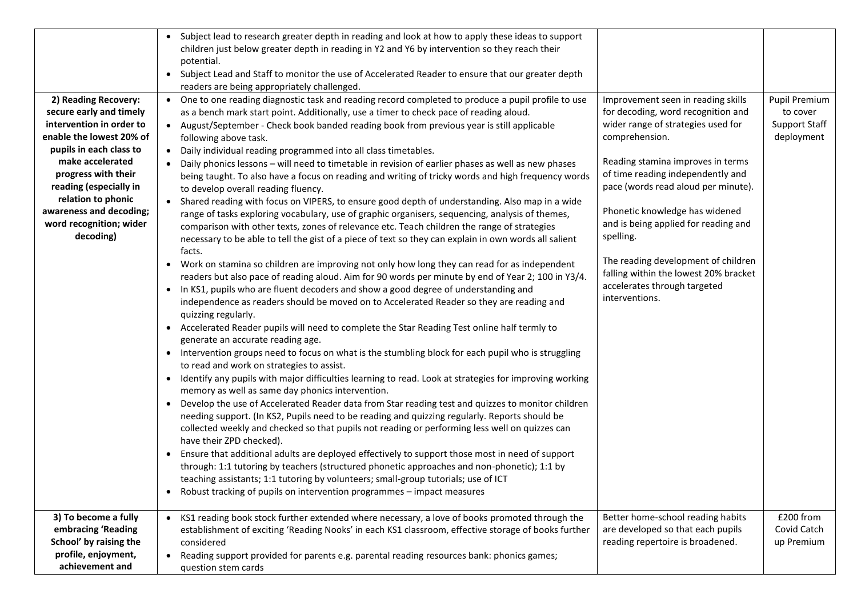| 2) Reading Recovery:<br>secure early and timely<br>intervention in order to<br>enable the lowest 20% of<br>pupils in each class to<br>make accelerated<br>progress with their<br>reading (especially in<br>relation to phonic<br>awareness and decoding;<br>word recognition; wider<br>decoding) | • Subject lead to research greater depth in reading and look at how to apply these ideas to support<br>children just below greater depth in reading in Y2 and Y6 by intervention so they reach their<br>potential.<br>• Subject Lead and Staff to monitor the use of Accelerated Reader to ensure that our greater depth<br>readers are being appropriately challenged.<br>One to one reading diagnostic task and reading record completed to produce a pupil profile to use<br>$\bullet$<br>as a bench mark start point. Additionally, use a timer to check pace of reading aloud.<br>• August/September - Check book banded reading book from previous year is still applicable<br>following above task.<br>• Daily individual reading programmed into all class timetables.<br>Daily phonics lessons - will need to timetable in revision of earlier phases as well as new phases<br>being taught. To also have a focus on reading and writing of tricky words and high frequency words<br>to develop overall reading fluency.<br>• Shared reading with focus on VIPERS, to ensure good depth of understanding. Also map in a wide<br>range of tasks exploring vocabulary, use of graphic organisers, sequencing, analysis of themes,<br>comparison with other texts, zones of relevance etc. Teach children the range of strategies<br>necessary to be able to tell the gist of a piece of text so they can explain in own words all salient<br>facts.<br>Work on stamina so children are improving not only how long they can read for as independent<br>readers but also pace of reading aloud. Aim for 90 words per minute by end of Year 2; 100 in Y3/4.<br>In KS1, pupils who are fluent decoders and show a good degree of understanding and<br>$\bullet$<br>independence as readers should be moved on to Accelerated Reader so they are reading and<br>quizzing regularly.<br>Accelerated Reader pupils will need to complete the Star Reading Test online half termly to<br>$\bullet$<br>generate an accurate reading age.<br>• Intervention groups need to focus on what is the stumbling block for each pupil who is struggling<br>to read and work on strategies to assist.<br>• Identify any pupils with major difficulties learning to read. Look at strategies for improving working | Improvement seen in reading skills<br>for decoding, word recognition and<br>wider range of strategies used for<br>comprehension.<br>Reading stamina improves in terms<br>of time reading independently and<br>pace (words read aloud per minute).<br>Phonetic knowledge has widened<br>and is being applied for reading and<br>spelling.<br>The reading development of children<br>falling within the lowest 20% bracket<br>accelerates through targeted<br>interventions. | Pupil Premium<br>to cover<br>Support Staff<br>deployment |
|--------------------------------------------------------------------------------------------------------------------------------------------------------------------------------------------------------------------------------------------------------------------------------------------------|---------------------------------------------------------------------------------------------------------------------------------------------------------------------------------------------------------------------------------------------------------------------------------------------------------------------------------------------------------------------------------------------------------------------------------------------------------------------------------------------------------------------------------------------------------------------------------------------------------------------------------------------------------------------------------------------------------------------------------------------------------------------------------------------------------------------------------------------------------------------------------------------------------------------------------------------------------------------------------------------------------------------------------------------------------------------------------------------------------------------------------------------------------------------------------------------------------------------------------------------------------------------------------------------------------------------------------------------------------------------------------------------------------------------------------------------------------------------------------------------------------------------------------------------------------------------------------------------------------------------------------------------------------------------------------------------------------------------------------------------------------------------------------------------------------------------------------------------------------------------------------------------------------------------------------------------------------------------------------------------------------------------------------------------------------------------------------------------------------------------------------------------------------------------------------------------------------------------------------------------------------------------------------------------------------|----------------------------------------------------------------------------------------------------------------------------------------------------------------------------------------------------------------------------------------------------------------------------------------------------------------------------------------------------------------------------------------------------------------------------------------------------------------------------|----------------------------------------------------------|
|                                                                                                                                                                                                                                                                                                  | memory as well as same day phonics intervention.<br>Develop the use of Accelerated Reader data from Star reading test and quizzes to monitor children<br>$\bullet$<br>needing support. (In KS2, Pupils need to be reading and quizzing regularly. Reports should be<br>collected weekly and checked so that pupils not reading or performing less well on quizzes can<br>have their ZPD checked).<br>Ensure that additional adults are deployed effectively to support those most in need of support<br>$\bullet$<br>through: 1:1 tutoring by teachers (structured phonetic approaches and non-phonetic); 1:1 by<br>teaching assistants; 1:1 tutoring by volunteers; small-group tutorials; use of ICT<br>• Robust tracking of pupils on intervention programmes - impact measures                                                                                                                                                                                                                                                                                                                                                                                                                                                                                                                                                                                                                                                                                                                                                                                                                                                                                                                                                                                                                                                                                                                                                                                                                                                                                                                                                                                                                                                                                                                      |                                                                                                                                                                                                                                                                                                                                                                                                                                                                            | £200 from                                                |
| 3) To become a fully<br>embracing 'Reading<br>School' by raising the<br>profile, enjoyment,<br>achievement and                                                                                                                                                                                   | • KS1 reading book stock further extended where necessary, a love of books promoted through the<br>establishment of exciting 'Reading Nooks' in each KS1 classroom, effective storage of books further<br>considered<br>• Reading support provided for parents e.g. parental reading resources bank: phonics games;<br>question stem cards                                                                                                                                                                                                                                                                                                                                                                                                                                                                                                                                                                                                                                                                                                                                                                                                                                                                                                                                                                                                                                                                                                                                                                                                                                                                                                                                                                                                                                                                                                                                                                                                                                                                                                                                                                                                                                                                                                                                                              | Better home-school reading habits<br>are developed so that each pupils<br>reading repertoire is broadened.                                                                                                                                                                                                                                                                                                                                                                 | Covid Catch<br>up Premium                                |